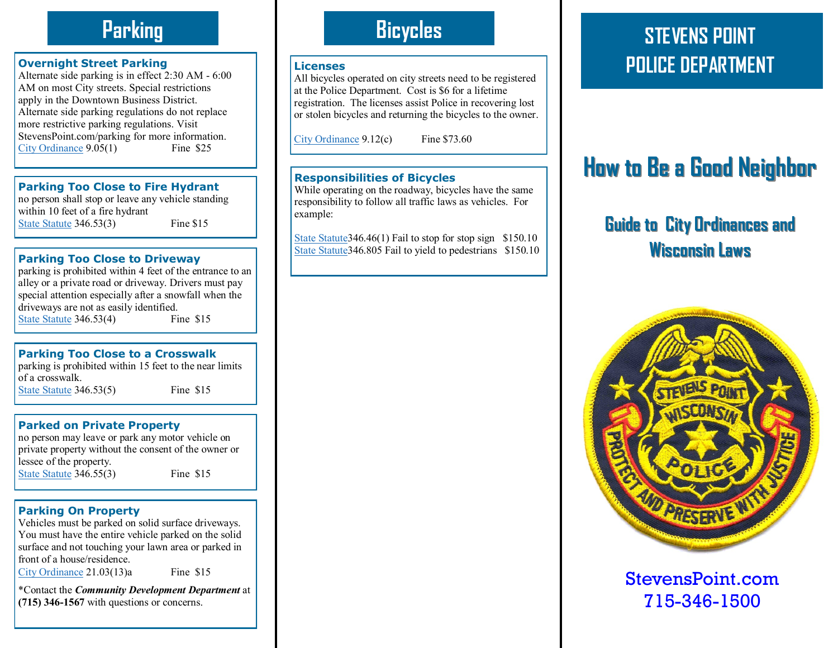# **Parking**

#### **Overnight Street Parking**

Alternate side parking is in effect 2:30 AM - 6:00 AM on most City streets. Special restrictions apply in the Downtown Business District. Alternate side parking regulations do not replace more restrictive parking regulations. Visit StevensPoint.com/parking for more information.<br>City Ordinance 9.05(1) Fine \$25 [City Ordinance](http://stevenspoint.com/index.aspx?nid=105)  $9.05(1)$ 

**Parking Too Close to Fire Hydrant**

no person shall stop or leave any vehicle standing within 10 feet of a fire hydrant [State Statute](http://nxt.legis.state.wi.us/nxt/gateway.dll?f=templates&fn=default.htm&d=stats&jd=top) 346.53(3) Fine \$15

### **Parking Too Close to Driveway**

parking is prohibited within 4 feet of the entrance to an alley or a private road or driveway. Drivers must pay special attention especially after a snowfall when the driveways are not as easily identified. [State Statute](http://nxt.legis.state.wi.us/nxt/gateway.dll?f=templates&fn=default.htm&d=stats&jd=top) 346.53(4) Fine \$15

### **Parking Too Close to a Crosswalk**

parking is prohibited within 15 feet to the near limits of a crosswalk. [State Statute](http://nxt.legis.state.wi.us/nxt/gateway.dll?f=templates&fn=default.htm&d=stats&jd=top) 346.53(5) Fine \$15

### **Parked on Private Property**

no person may leave or park any motor vehicle on private property without the consent of the owner or lessee of the property. [State Statute](http://nxt.legis.state.wi.us/nxt/gateway.dll?f=templates&fn=default.htm&d=stats&jd=top) 346.55(3) Fine \$15

### **Parking On Property**

Vehicles must be parked on solid surface driveways. You must have the entire vehicle parked on the solid surface and not touching your lawn area or parked in front of a house/residence.

[City Ordinance](http://stevenspoint.com/index.aspx?nid=105) 21.03(13)aFine \$15

\*Contact the *Community Development Department* at **(715) 346-1567** with questions or concerns.

# **Bicycles**

#### **Licenses**

All bicycles operated on city streets need to be registered at the Police Department. Cost is \$6 for a lifetime registration. The licenses assist Police in recovering lost or stolen bicycles and returning the bicycles to the owner.

[City Ordinance](http://stevenspoint.com/index.aspx?nid=105) 9.12(c) Fine \$73.60

### **Responsibilities of Bicycles**

While operating on the roadway, bicycles have the same responsibility to follow all traffic laws as vehicles. For example:

[State Statute34](http://nxt.legis.state.wi.us/nxt/gateway.dll?f=templates&fn=default.htm&d=stats&jd=top)6.46(1) Fail to stop for stop sign \$150.10 State Statute 346.805 Fail to yield to pedestrians \$150.10

# **STEVENS POINT POLICE DEPARTMENT**

# **How to Be a Good Neighbor**

# **Guide to City Ordinances and Wisconsin Laws**



### StevensPoint.com 715-346-1500